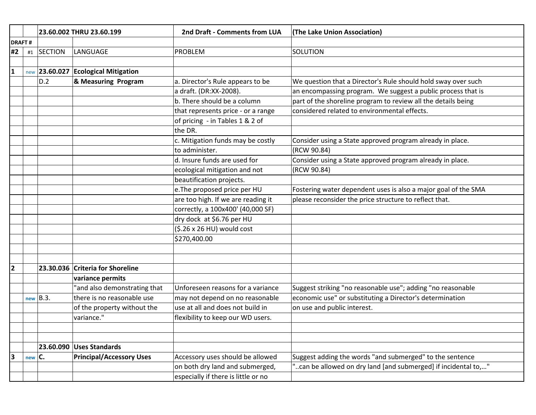|                |            |                | 23.60.002 THRU 23.60.199                 | 2nd Draft - Comments from LUA       | (The Lake Union Association)                                   |
|----------------|------------|----------------|------------------------------------------|-------------------------------------|----------------------------------------------------------------|
| <b>DRAFT#</b>  |            |                |                                          |                                     |                                                                |
| #2             | $\#1$      | <b>SECTION</b> | LANGUAGE                                 | <b>PROBLEM</b>                      | SOLUTION                                                       |
|                |            |                |                                          |                                     |                                                                |
| $\mathbf{1}$   |            |                | $_{new}$ 23.60.027 Ecological Mitigation |                                     |                                                                |
|                |            | D.2            | & Measuring Program                      | a. Director's Rule appears to be    | We question that a Director's Rule should hold sway over such  |
|                |            |                |                                          | a draft. (DR:XX-2008).              | an encompassing program. We suggest a public process that is   |
|                |            |                |                                          | b. There should be a column         | part of the shoreline program to review all the details being  |
|                |            |                |                                          | that represents price - or a range  | considered related to environmental effects.                   |
|                |            |                |                                          | of pricing - in Tables 1 & 2 of     |                                                                |
|                |            |                |                                          | the DR.                             |                                                                |
|                |            |                |                                          | c. Mitigation funds may be costly   | Consider using a State approved program already in place.      |
|                |            |                |                                          | to administer.                      | (RCW 90.84)                                                    |
|                |            |                |                                          | d. Insure funds are used for        | Consider using a State approved program already in place.      |
|                |            |                |                                          | ecological mitigation and not       | (RCW 90.84)                                                    |
|                |            |                |                                          | beautification projects.            |                                                                |
|                |            |                |                                          | e. The proposed price per HU        | Fostering water dependent uses is also a major goal of the SMA |
|                |            |                |                                          | are too high. If we are reading it  | please reconsider the price structure to reflect that.         |
|                |            |                |                                          | correctly, a 100x400' (40,000 SF)   |                                                                |
|                |            |                |                                          | dry dock at \$6.76 per HU           |                                                                |
|                |            |                |                                          | (\$.26 x 26 HU) would cost          |                                                                |
|                |            |                |                                          | \$270,400.00                        |                                                                |
|                |            |                |                                          |                                     |                                                                |
|                |            |                |                                          |                                     |                                                                |
| $\overline{2}$ |            |                | 23.30.036 Criteria for Shoreline         |                                     |                                                                |
|                |            |                | variance permits                         |                                     |                                                                |
|                |            |                | "and also demonstrating that             | Unforeseen reasons for a variance   | Suggest striking "no reasonable use"; adding "no reasonable    |
|                |            | $new$ $B.3.$   | there is no reasonable use               | may not depend on no reasonable     | economic use" or substituting a Director's determination       |
|                |            |                | of the property without the              | use at all and does not build in    | on use and public interest.                                    |
|                |            |                | variance."                               | flexibility to keep our WD users.   |                                                                |
|                |            |                |                                          |                                     |                                                                |
|                |            |                |                                          |                                     |                                                                |
|                |            |                | 23.60.090 Uses Standards                 |                                     |                                                                |
| 3              | $new$ $C.$ |                | <b>Principal/Accessory Uses</b>          | Accessory uses should be allowed    | Suggest adding the words "and submerged" to the sentence       |
|                |            |                |                                          | on both dry land and submerged,     | "can be allowed on dry land [and submerged] if incidental to," |
|                |            |                |                                          | especially if there is little or no |                                                                |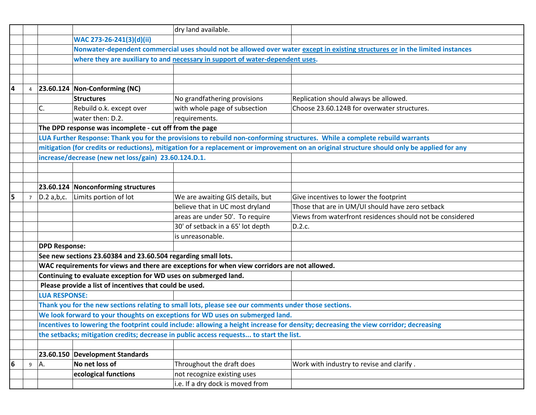|   |                |                      |                                                                 | dry land available.                                                                                  |                                                                                                                                             |
|---|----------------|----------------------|-----------------------------------------------------------------|------------------------------------------------------------------------------------------------------|---------------------------------------------------------------------------------------------------------------------------------------------|
|   |                |                      | WAC 273-26-241(3)(d)(ii)                                        |                                                                                                      |                                                                                                                                             |
|   |                |                      |                                                                 |                                                                                                      | Nonwater-dependent commercial uses should not be allowed over water except in existing structures or in the limited instances               |
|   |                |                      |                                                                 | where they are auxiliary to and necessary in support of water-dependent uses.                        |                                                                                                                                             |
|   |                |                      |                                                                 |                                                                                                      |                                                                                                                                             |
|   |                |                      |                                                                 |                                                                                                      |                                                                                                                                             |
| 4 | $\overline{4}$ |                      | 23.60.124 Non-Conforming (NC)                                   |                                                                                                      |                                                                                                                                             |
|   |                |                      | <b>Structures</b>                                               | No grandfathering provisions                                                                         | Replication should always be allowed.                                                                                                       |
|   |                | C.                   | Rebuild o.k. except over                                        | with whole page of subsection                                                                        | Choose 23.60.124B for overwater structures.                                                                                                 |
|   |                |                      | water then: D.2.                                                | requirements.                                                                                        |                                                                                                                                             |
|   |                |                      | The DPD response was incomplete - cut off from the page         |                                                                                                      |                                                                                                                                             |
|   |                |                      |                                                                 |                                                                                                      | LUA Further Response: Thank you for the provisions to rebuild non-conforming structures. While a complete rebuild warrants                  |
|   |                |                      |                                                                 |                                                                                                      | mitigation (for credits or reductions), mitigation for a replacement or improvement on an original structure should only be applied for any |
|   |                |                      | increase/decrease (new net loss/gain) 23.60.124.D.1.            |                                                                                                      |                                                                                                                                             |
|   |                |                      |                                                                 |                                                                                                      |                                                                                                                                             |
|   |                |                      |                                                                 |                                                                                                      |                                                                                                                                             |
|   |                |                      | 23.60.124 Nonconforming structures                              |                                                                                                      |                                                                                                                                             |
| 5 | $7^{\circ}$    | $D.2$ a,b,c.         | Limits portion of lot                                           | We are awaiting GIS details, but                                                                     | Give incentives to lower the footprint                                                                                                      |
|   |                |                      |                                                                 | believe that in UC most dryland                                                                      | Those that are in UM/UI should have zero setback                                                                                            |
|   |                |                      |                                                                 | areas are under 50'. To require                                                                      | Views from waterfront residences should not be considered                                                                                   |
|   |                |                      |                                                                 | 30' of setback in a 65' lot depth                                                                    | D.2.c.                                                                                                                                      |
|   |                |                      |                                                                 | is unreasonable.                                                                                     |                                                                                                                                             |
|   |                | <b>DPD Response:</b> |                                                                 |                                                                                                      |                                                                                                                                             |
|   |                |                      | See new sections 23.60384 and 23.60.504 regarding small lots.   |                                                                                                      |                                                                                                                                             |
|   |                |                      |                                                                 | WAC requirements for views and there are exceptions for when view corridors are not allowed.         |                                                                                                                                             |
|   |                |                      | Continuing to evaluate exception for WD uses on submerged land. |                                                                                                      |                                                                                                                                             |
|   |                |                      | Please provide a list of incentives that could be used.         |                                                                                                      |                                                                                                                                             |
|   |                | <b>LUA RESPONSE:</b> |                                                                 |                                                                                                      |                                                                                                                                             |
|   |                |                      |                                                                 | Thank you for the new sections relating to small lots, please see our comments under those sections. |                                                                                                                                             |
|   |                |                      |                                                                 | We look forward to your thoughts on exceptions for WD uses on submerged land.                        |                                                                                                                                             |
|   |                |                      |                                                                 |                                                                                                      | Incentives to lowering the footprint could include: allowing a height increase for density; decreasing the view corridor; decreasing        |
|   |                |                      |                                                                 | the setbacks; mitigation credits; decrease in public access requests to start the list.              |                                                                                                                                             |
|   |                |                      |                                                                 |                                                                                                      |                                                                                                                                             |
|   |                |                      | 23.60.150 Development Standards                                 |                                                                                                      |                                                                                                                                             |
| 6 | 9              | A.                   | No net loss of                                                  | Throughout the draft does                                                                            | Work with industry to revise and clarify.                                                                                                   |
|   |                |                      | ecological functions                                            | not recognize existing uses                                                                          |                                                                                                                                             |
|   |                |                      |                                                                 | i.e. If a dry dock is moved from                                                                     |                                                                                                                                             |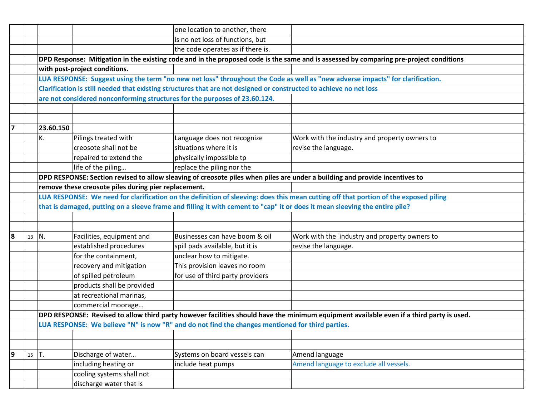|                |         |           |                                                      | one location to another, there                                                                                                       |                                                                                                                                          |
|----------------|---------|-----------|------------------------------------------------------|--------------------------------------------------------------------------------------------------------------------------------------|------------------------------------------------------------------------------------------------------------------------------------------|
|                |         |           |                                                      | is no net loss of functions, but                                                                                                     |                                                                                                                                          |
|                |         |           |                                                      | the code operates as if there is.                                                                                                    |                                                                                                                                          |
|                |         |           |                                                      |                                                                                                                                      | DPD Response: Mitigation in the existing code and in the proposed code is the same and is assessed by comparing pre-project conditions   |
|                |         |           | with post-project conditions.                        |                                                                                                                                      |                                                                                                                                          |
|                |         |           |                                                      |                                                                                                                                      | LUA RESPONSE: Suggest using the term "no new net loss" throughout the Code as well as "new adverse impacts" for clarification.           |
|                |         |           |                                                      | Clarification is still needed that existing structures that are not designed or constructed to achieve no net loss                   |                                                                                                                                          |
|                |         |           |                                                      | are not considered nonconforming structures for the purposes of 23.60.124.                                                           |                                                                                                                                          |
|                |         |           |                                                      |                                                                                                                                      |                                                                                                                                          |
|                |         |           |                                                      |                                                                                                                                      |                                                                                                                                          |
| $\overline{7}$ |         | 23.60.150 |                                                      |                                                                                                                                      |                                                                                                                                          |
|                |         | К.        | Pilings treated with                                 | Language does not recognize                                                                                                          | Work with the industry and property owners to                                                                                            |
|                |         |           | creosote shall not be                                | situations where it is                                                                                                               | revise the language.                                                                                                                     |
|                |         |           | repaired to extend the                               | physically impossible tp                                                                                                             |                                                                                                                                          |
|                |         |           | life of the piling                                   | replace the piling nor the                                                                                                           |                                                                                                                                          |
|                |         |           |                                                      |                                                                                                                                      | DPD RESPONSE: Section revised to allow sleaving of creosote piles when piles are under a building and provide incentives to              |
|                |         |           | remove these creosote piles during pier replacement. |                                                                                                                                      |                                                                                                                                          |
|                |         |           |                                                      | LUA RESPONSE: We need for clarification on the definition of sleeving: does this mean cutting off that portion of the exposed piling |                                                                                                                                          |
|                |         |           |                                                      |                                                                                                                                      | that is damaged, putting on a sleeve frame and filling it with cement to "cap" it or does it mean sleeving the entire pile?              |
|                |         |           |                                                      |                                                                                                                                      |                                                                                                                                          |
|                |         |           |                                                      |                                                                                                                                      |                                                                                                                                          |
| 8              | 13      | IN.       | Facilities, equipment and                            | Businesses can have boom & oil                                                                                                       | Work with the industry and property owners to                                                                                            |
|                |         |           | established procedures                               | spill pads available, but it is                                                                                                      | revise the language.                                                                                                                     |
|                |         |           | for the containment,                                 | unclear how to mitigate.                                                                                                             |                                                                                                                                          |
|                |         |           | recovery and mitigation                              | This provision leaves no room                                                                                                        |                                                                                                                                          |
|                |         |           | of spilled petroleum                                 | for use of third party providers                                                                                                     |                                                                                                                                          |
|                |         |           | products shall be provided                           |                                                                                                                                      |                                                                                                                                          |
|                |         |           | at recreational marinas,                             |                                                                                                                                      |                                                                                                                                          |
|                |         |           | commercial moorage                                   |                                                                                                                                      |                                                                                                                                          |
|                |         |           |                                                      |                                                                                                                                      | DPD RESPONSE: Revised to allow third party however facilities should have the minimum equipment available even if a third party is used. |
|                |         |           |                                                      | LUA RESPONSE: We believe "N" is now "R" and do not find the changes mentioned for third parties.                                     |                                                                                                                                          |
|                |         |           |                                                      |                                                                                                                                      |                                                                                                                                          |
|                |         |           |                                                      |                                                                                                                                      |                                                                                                                                          |
| 9              | $15$ T. |           | Discharge of water                                   | Systems on board vessels can                                                                                                         | Amend language                                                                                                                           |
|                |         |           | including heating or                                 | include heat pumps                                                                                                                   | Amend language to exclude all vessels.                                                                                                   |
|                |         |           | cooling systems shall not                            |                                                                                                                                      |                                                                                                                                          |
|                |         |           | discharge water that is                              |                                                                                                                                      |                                                                                                                                          |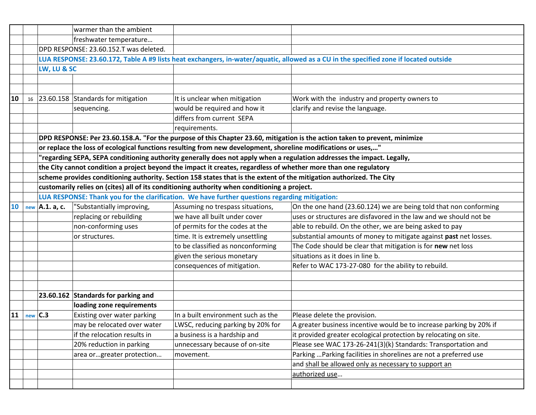|    |                        | warmer than the ambient                |                                                                                                                      |                                                                                                                                       |
|----|------------------------|----------------------------------------|----------------------------------------------------------------------------------------------------------------------|---------------------------------------------------------------------------------------------------------------------------------------|
|    |                        | freshwater temperature                 |                                                                                                                      |                                                                                                                                       |
|    |                        | DPD RESPONSE: 23.60.152.T was deleted. |                                                                                                                      |                                                                                                                                       |
|    |                        |                                        |                                                                                                                      | LUA RESPONSE: 23.60.172, Table A #9 lists heat exchangers, in-water/aquatic, allowed as a CU in the specified zone if located outside |
|    | LW, LU & SC            |                                        |                                                                                                                      |                                                                                                                                       |
|    |                        |                                        |                                                                                                                      |                                                                                                                                       |
|    |                        |                                        |                                                                                                                      |                                                                                                                                       |
| 10 |                        | 16 23.60.158 Standards for mitigation  | It is unclear when mitigation                                                                                        | Work with the industry and property owners to                                                                                         |
|    |                        | sequencing.                            | would be required and how it                                                                                         | clarify and revise the language.                                                                                                      |
|    |                        |                                        | differs from current SEPA                                                                                            |                                                                                                                                       |
|    |                        |                                        | requirements.                                                                                                        |                                                                                                                                       |
|    |                        |                                        |                                                                                                                      | DPD RESPONSE: Per 23.60.158.A. "For the purpose of this Chapter 23.60, mitigation is the action taken to prevent, minimize            |
|    |                        |                                        | or replace the loss of ecological functions resulting from new development, shoreline modifications or uses,"        |                                                                                                                                       |
|    |                        |                                        |                                                                                                                      | "regarding SEPA, SEPA conditioning authority generally does not apply when a regulation addresses the impact. Legally,                |
|    |                        |                                        | the City cannot condition a project beyond the impact it creates, regardless of whether more than one regulatory     |                                                                                                                                       |
|    |                        |                                        | scheme provides conditioning authority. Section 158 states that is the extent of the mitigation authorized. The City |                                                                                                                                       |
|    |                        |                                        | customarily relies on (cites) all of its conditioning authority when conditioning a project.                         |                                                                                                                                       |
|    |                        |                                        | LUA RESPONSE: Thank you for the clarification. We have further questions regarding mitigation:                       |                                                                                                                                       |
| 10 | new $\vert$ A.1. a, c. | "Substantially improving,              | Assuming no trespass situations,                                                                                     | On the one hand (23.60.124) we are being told that non conforming                                                                     |
|    |                        | replacing or rebuilding                | we have all built under cover                                                                                        | uses or structures are disfavored in the law and we should not be                                                                     |
|    |                        | non-conforming uses                    | of permits for the codes at the                                                                                      | able to rebuild. On the other, we are being asked to pay                                                                              |
|    |                        | or structures.                         | time. It is extremely unsettling                                                                                     | substantial amounts of money to mitigate against past net losses.                                                                     |
|    |                        |                                        | to be classified as nonconforming                                                                                    | The Code should be clear that mitigation is for new net loss                                                                          |
|    |                        |                                        | given the serious monetary                                                                                           | situations as it does in line b.                                                                                                      |
|    |                        |                                        | consequences of mitigation.                                                                                          | Refer to WAC 173-27-080 for the ability to rebuild.                                                                                   |
|    |                        |                                        |                                                                                                                      |                                                                                                                                       |
|    |                        |                                        |                                                                                                                      |                                                                                                                                       |
|    |                        | 23.60.162 Standards for parking and    |                                                                                                                      |                                                                                                                                       |
|    |                        | loading zone requirements              |                                                                                                                      |                                                                                                                                       |
| 11 | $new$ $C.3$            | Existing over water parking            | In a built environment such as the                                                                                   | Please delete the provision.                                                                                                          |
|    |                        | may be relocated over water            | LWSC, reducing parking by 20% for                                                                                    | A greater business incentive would be to increase parking by 20% if                                                                   |
|    |                        | if the relocation results in           | a business is a hardship and                                                                                         | it provided greater ecological protection by relocating on site.                                                                      |
|    |                        | 20% reduction in parking               | unnecessary because of on-site                                                                                       | Please see WAC 173-26-241(3)(k) Standards: Transportation and                                                                         |
|    |                        | area orgreater protection              | movement.                                                                                                            | Parking  Parking facilities in shorelines are not a preferred use                                                                     |
|    |                        |                                        |                                                                                                                      | and shall be allowed only as necessary to support an                                                                                  |
|    |                        |                                        |                                                                                                                      | authorized use                                                                                                                        |
|    |                        |                                        |                                                                                                                      |                                                                                                                                       |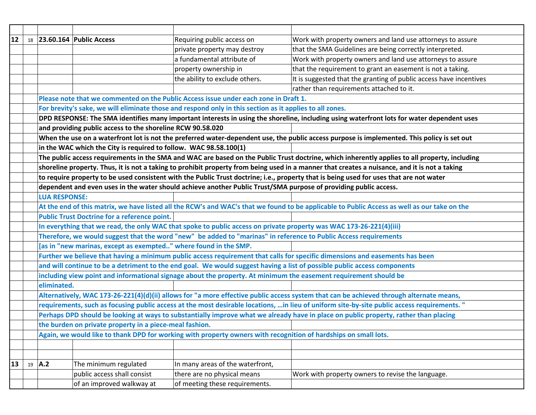| 12                                                                                                                                      |    |                                                                                                                     | 18 23.60.164 Public Access                                        | Requiring public access on                                                                                       | Work with property owners and land use attorneys to assure                                                                                    |  |  |  |
|-----------------------------------------------------------------------------------------------------------------------------------------|----|---------------------------------------------------------------------------------------------------------------------|-------------------------------------------------------------------|------------------------------------------------------------------------------------------------------------------|-----------------------------------------------------------------------------------------------------------------------------------------------|--|--|--|
|                                                                                                                                         |    |                                                                                                                     |                                                                   | private property may destroy                                                                                     | that the SMA Guidelines are being correctly interpreted.                                                                                      |  |  |  |
|                                                                                                                                         |    |                                                                                                                     |                                                                   | a fundamental attribute of                                                                                       | Work with property owners and land use attorneys to assure                                                                                    |  |  |  |
|                                                                                                                                         |    |                                                                                                                     |                                                                   | property ownership in                                                                                            | that the requirement to grant an easement is not a taking.                                                                                    |  |  |  |
|                                                                                                                                         |    |                                                                                                                     |                                                                   | the ability to exclude others.                                                                                   | It is suggested that the granting of public access have incentives                                                                            |  |  |  |
|                                                                                                                                         |    |                                                                                                                     |                                                                   |                                                                                                                  | rather than requirements attached to it.                                                                                                      |  |  |  |
|                                                                                                                                         |    |                                                                                                                     |                                                                   | Please note that we commented on the Public Access issue under each zone in Draft 1.                             |                                                                                                                                               |  |  |  |
|                                                                                                                                         |    |                                                                                                                     |                                                                   | For brevity's sake, we will eliminate those and respond only in this section as it applies to all zones.         |                                                                                                                                               |  |  |  |
|                                                                                                                                         |    |                                                                                                                     |                                                                   |                                                                                                                  | DPD RESPONSE: The SMA identifies many important interests in using the shoreline, including using waterfront lots for water dependent uses    |  |  |  |
|                                                                                                                                         |    |                                                                                                                     | and providing public access to the shoreline RCW 90.58.020        |                                                                                                                  |                                                                                                                                               |  |  |  |
|                                                                                                                                         |    |                                                                                                                     |                                                                   |                                                                                                                  | When the use on a waterfront lot is not the preferred water-dependent use, the public access purpose is implemented. This policy is set out   |  |  |  |
|                                                                                                                                         |    |                                                                                                                     | in the WAC which the City is required to follow. WAC 98.58.100(1) |                                                                                                                  |                                                                                                                                               |  |  |  |
|                                                                                                                                         |    |                                                                                                                     |                                                                   |                                                                                                                  | The public access requirements in the SMA and WAC are based on the Public Trust doctrine, which inherently applies to all property, including |  |  |  |
|                                                                                                                                         |    |                                                                                                                     |                                                                   |                                                                                                                  | shoreline property. Thus, it is not a taking to prohibit property from being used in a manner that creates a nuisance, and it is not a taking |  |  |  |
| to require property to be used consistent with the Public Trust doctrine; i.e., property that is being used for uses that are not water |    |                                                                                                                     |                                                                   |                                                                                                                  |                                                                                                                                               |  |  |  |
|                                                                                                                                         |    |                                                                                                                     |                                                                   | dependent and even uses in the water should achieve another Public Trust/SMA purpose of providing public access. |                                                                                                                                               |  |  |  |
|                                                                                                                                         |    | <b>LUA RESPONSE:</b>                                                                                                |                                                                   |                                                                                                                  |                                                                                                                                               |  |  |  |
|                                                                                                                                         |    |                                                                                                                     |                                                                   |                                                                                                                  | At the end of this matrix, we have listed all the RCW's and WAC's that we found to be applicable to Public Access as well as our take on the  |  |  |  |
|                                                                                                                                         |    |                                                                                                                     | <b>Public Trust Doctrine for a reference point.</b>               |                                                                                                                  |                                                                                                                                               |  |  |  |
|                                                                                                                                         |    | In everything that we read, the only WAC that spoke to public access on private property was WAC 173-26-221(4)(iii) |                                                                   |                                                                                                                  |                                                                                                                                               |  |  |  |
|                                                                                                                                         |    |                                                                                                                     |                                                                   | Therefore, we would suggest that the word "new" be added to "marinas" in reference to Public Access requirements |                                                                                                                                               |  |  |  |
|                                                                                                                                         |    | [as in "new marinas, except as exempted" where found in the SMP.                                                    |                                                                   |                                                                                                                  |                                                                                                                                               |  |  |  |
|                                                                                                                                         |    |                                                                                                                     |                                                                   |                                                                                                                  | Further we believe that having a minimum public access requirement that calls for specific dimensions and easements has been                  |  |  |  |
|                                                                                                                                         |    |                                                                                                                     |                                                                   |                                                                                                                  | and will continue to be a detriment to the end goal. We would suggest having a list of possible public access components                      |  |  |  |
|                                                                                                                                         |    |                                                                                                                     |                                                                   | including view point and informational signage about the property. At minimum the easement requirement should be |                                                                                                                                               |  |  |  |
|                                                                                                                                         |    | eliminated.                                                                                                         |                                                                   |                                                                                                                  |                                                                                                                                               |  |  |  |
|                                                                                                                                         |    |                                                                                                                     |                                                                   |                                                                                                                  | Alternatively, WAC 173-26-221(4)(d)(ii) allows for "a more effective public access system that can be achieved through alternate means,       |  |  |  |
|                                                                                                                                         |    |                                                                                                                     |                                                                   |                                                                                                                  | requirements, such as focusing public access at the most desirable locations, in lieu of uniform site-by-site public access requirements."    |  |  |  |
|                                                                                                                                         |    |                                                                                                                     |                                                                   |                                                                                                                  | Perhaps DPD should be looking at ways to substantially improve what we already have in place on public property, rather than placing          |  |  |  |
|                                                                                                                                         |    |                                                                                                                     | the burden on private property in a piece-meal fashion.           |                                                                                                                  |                                                                                                                                               |  |  |  |
|                                                                                                                                         |    |                                                                                                                     |                                                                   | Again, we would like to thank DPD for working with property owners with recognition of hardships on small lots.  |                                                                                                                                               |  |  |  |
|                                                                                                                                         |    |                                                                                                                     |                                                                   |                                                                                                                  |                                                                                                                                               |  |  |  |
|                                                                                                                                         |    |                                                                                                                     |                                                                   |                                                                                                                  |                                                                                                                                               |  |  |  |
| 13                                                                                                                                      | 19 | $\vert$ A.2                                                                                                         | The minimum regulated                                             | In many areas of the waterfront,                                                                                 |                                                                                                                                               |  |  |  |
|                                                                                                                                         |    |                                                                                                                     | public access shall consist                                       | there are no physical means                                                                                      | Work with property owners to revise the language.                                                                                             |  |  |  |
|                                                                                                                                         |    |                                                                                                                     | of an improved walkway at                                         | of meeting these requirements.                                                                                   |                                                                                                                                               |  |  |  |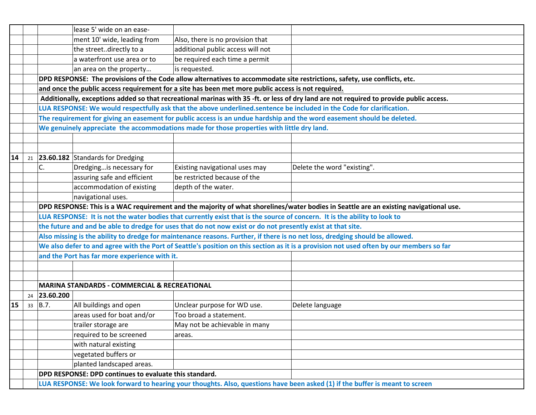|    |                                                                                                                                         |                                                                                                    | lease 5' wide on an ease-                               |                                                                                                                           |                                                                                                                                          |  |  |  |  |
|----|-----------------------------------------------------------------------------------------------------------------------------------------|----------------------------------------------------------------------------------------------------|---------------------------------------------------------|---------------------------------------------------------------------------------------------------------------------------|------------------------------------------------------------------------------------------------------------------------------------------|--|--|--|--|
|    |                                                                                                                                         |                                                                                                    | ment 10' wide, leading from                             | Also, there is no provision that                                                                                          |                                                                                                                                          |  |  |  |  |
|    |                                                                                                                                         |                                                                                                    | the streetdirectly to a                                 | additional public access will not                                                                                         |                                                                                                                                          |  |  |  |  |
|    |                                                                                                                                         |                                                                                                    | a waterfront use area or to                             | be required each time a permit                                                                                            |                                                                                                                                          |  |  |  |  |
|    |                                                                                                                                         |                                                                                                    | an area on the property                                 | is requested.                                                                                                             |                                                                                                                                          |  |  |  |  |
|    | DPD RESPONSE: The provisions of the Code allow alternatives to accommodate site restrictions, safety, use conflicts, etc.               |                                                                                                    |                                                         |                                                                                                                           |                                                                                                                                          |  |  |  |  |
|    |                                                                                                                                         | and once the public access requirement for a site has been met more public access is not required. |                                                         |                                                                                                                           |                                                                                                                                          |  |  |  |  |
|    | Additionally, exceptions added so that recreational marinas with 35 -ft. or less of dry land are not required to provide public access. |                                                                                                    |                                                         |                                                                                                                           |                                                                                                                                          |  |  |  |  |
|    |                                                                                                                                         |                                                                                                    |                                                         |                                                                                                                           | LUA RESPONSE: We would respectfully ask that the above underlined.sentence be included in the Code for clarification.                    |  |  |  |  |
|    |                                                                                                                                         |                                                                                                    |                                                         |                                                                                                                           | The requirement for giving an easement for public access is an undue hardship and the word easement should be deleted.                   |  |  |  |  |
|    |                                                                                                                                         |                                                                                                    |                                                         | We genuinely appreciate the accommodations made for those properties with little dry land.                                |                                                                                                                                          |  |  |  |  |
|    |                                                                                                                                         |                                                                                                    |                                                         |                                                                                                                           |                                                                                                                                          |  |  |  |  |
|    |                                                                                                                                         |                                                                                                    |                                                         |                                                                                                                           |                                                                                                                                          |  |  |  |  |
| 14 | 21                                                                                                                                      |                                                                                                    | 23.60.182 Standards for Dredging                        |                                                                                                                           |                                                                                                                                          |  |  |  |  |
|    |                                                                                                                                         | C.                                                                                                 | Dredgingis necessary for                                | Existing navigational uses may                                                                                            | Delete the word "existing".                                                                                                              |  |  |  |  |
|    |                                                                                                                                         |                                                                                                    | assuring safe and efficient                             | be restricted because of the                                                                                              |                                                                                                                                          |  |  |  |  |
|    |                                                                                                                                         |                                                                                                    | accommodation of existing                               | depth of the water.                                                                                                       |                                                                                                                                          |  |  |  |  |
|    |                                                                                                                                         |                                                                                                    | navigational uses.                                      |                                                                                                                           |                                                                                                                                          |  |  |  |  |
|    | DPD RESPONSE: This is a WAC requirement and the majority of what shorelines/water bodies in Seattle are an existing navigational use.   |                                                                                                    |                                                         |                                                                                                                           |                                                                                                                                          |  |  |  |  |
|    |                                                                                                                                         |                                                                                                    |                                                         | LUA RESPONSE: It is not the water bodies that currently exist that is the source of concern. It is the ability to look to |                                                                                                                                          |  |  |  |  |
|    |                                                                                                                                         |                                                                                                    |                                                         | the future and and be able to dredge for uses that do not now exist or do not presently exist at that site.               |                                                                                                                                          |  |  |  |  |
|    |                                                                                                                                         |                                                                                                    |                                                         |                                                                                                                           | Also missing is the ability to dredge for maintenance reasons. Further, if there is no net loss, dredging should be allowed.             |  |  |  |  |
|    |                                                                                                                                         |                                                                                                    |                                                         |                                                                                                                           | We also defer to and agree with the Port of Seattle's position on this section as it is a provision not used often by our members so far |  |  |  |  |
|    |                                                                                                                                         | and the Port has far more experience with it.                                                      |                                                         |                                                                                                                           |                                                                                                                                          |  |  |  |  |
|    |                                                                                                                                         |                                                                                                    |                                                         |                                                                                                                           |                                                                                                                                          |  |  |  |  |
|    |                                                                                                                                         |                                                                                                    |                                                         |                                                                                                                           |                                                                                                                                          |  |  |  |  |
|    |                                                                                                                                         |                                                                                                    | <b>MARINA STANDARDS - COMMERCIAL &amp; RECREATIONAL</b> |                                                                                                                           |                                                                                                                                          |  |  |  |  |
|    | 24                                                                                                                                      | 23.60.200                                                                                          |                                                         |                                                                                                                           |                                                                                                                                          |  |  |  |  |
| 15 | 33                                                                                                                                      | B.7.                                                                                               | All buildings and open                                  | Unclear purpose for WD use.                                                                                               | Delete language                                                                                                                          |  |  |  |  |
|    |                                                                                                                                         |                                                                                                    | areas used for boat and/or                              | Too broad a statement.                                                                                                    |                                                                                                                                          |  |  |  |  |
|    |                                                                                                                                         |                                                                                                    | trailer storage are                                     | May not be achievable in many                                                                                             |                                                                                                                                          |  |  |  |  |
|    |                                                                                                                                         |                                                                                                    | required to be screened                                 | areas.                                                                                                                    |                                                                                                                                          |  |  |  |  |
|    |                                                                                                                                         |                                                                                                    | with natural existing                                   |                                                                                                                           |                                                                                                                                          |  |  |  |  |
|    |                                                                                                                                         |                                                                                                    | vegetated buffers or                                    |                                                                                                                           |                                                                                                                                          |  |  |  |  |
|    |                                                                                                                                         |                                                                                                    | planted landscaped areas.                               |                                                                                                                           |                                                                                                                                          |  |  |  |  |
|    |                                                                                                                                         |                                                                                                    | DPD RESPONSE: DPD continues to evaluate this standard.  |                                                                                                                           |                                                                                                                                          |  |  |  |  |
|    |                                                                                                                                         |                                                                                                    |                                                         |                                                                                                                           | LUA RESPONSE: We look forward to hearing your thoughts. Also, questions have been asked (1) if the buffer is meant to screen             |  |  |  |  |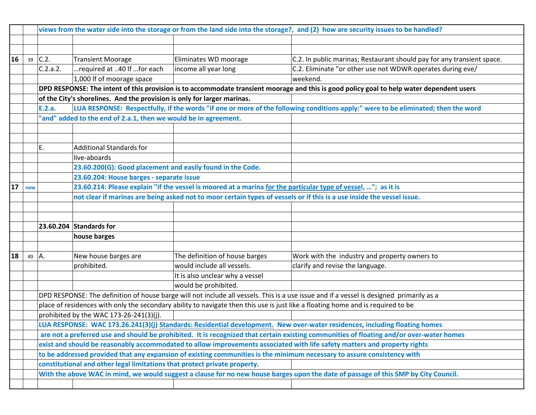|    |     |          |                                                                           |                                                                                                                        | views from the water side into the storage or from the land side into the storage?, and (2) how are security issues to be handled?        |  |  |  |
|----|-----|----------|---------------------------------------------------------------------------|------------------------------------------------------------------------------------------------------------------------|-------------------------------------------------------------------------------------------------------------------------------------------|--|--|--|
|    |     |          |                                                                           |                                                                                                                        |                                                                                                                                           |  |  |  |
|    |     |          |                                                                           |                                                                                                                        |                                                                                                                                           |  |  |  |
| 16 | 39  | C.2.     | <b>Transient Moorage</b>                                                  | Eliminates WD moorage                                                                                                  | C.2. In public marinas; Restaurant should pay for any transient space.                                                                    |  |  |  |
|    |     | C.2.a.2. | required at 40 If for each                                                | income all year long                                                                                                   | C.2. Eliminate "or other use not WDWR operates during eve/                                                                                |  |  |  |
|    |     |          | 1,000 If of moorage space                                                 |                                                                                                                        | weekend.                                                                                                                                  |  |  |  |
|    |     |          |                                                                           |                                                                                                                        | DPD RESPONSE: The intent of this provision is to accommodate transient moorage and this is good policy goal to help water dependent users |  |  |  |
|    |     |          | of the City's shorelines. And the provision is only for larger marinas.   |                                                                                                                        |                                                                                                                                           |  |  |  |
|    |     | E.2.a.   |                                                                           |                                                                                                                        | LUA RESPONSE: Respectfully, if the words "if one or more of the following conditions apply:" were to be eliminated; then the word         |  |  |  |
|    |     |          | 'and" added to the end of 2.a.1, then we would be in agreement.           |                                                                                                                        |                                                                                                                                           |  |  |  |
|    |     |          |                                                                           |                                                                                                                        |                                                                                                                                           |  |  |  |
|    |     |          |                                                                           |                                                                                                                        |                                                                                                                                           |  |  |  |
|    |     | E.       | <b>Additional Standards for</b>                                           |                                                                                                                        |                                                                                                                                           |  |  |  |
|    |     |          | live-aboards                                                              |                                                                                                                        |                                                                                                                                           |  |  |  |
|    |     |          | 23.60.200(G): Good placement and easily found in the Code.                |                                                                                                                        |                                                                                                                                           |  |  |  |
|    |     |          | 23.60.204: House barges - separate issue                                  |                                                                                                                        |                                                                                                                                           |  |  |  |
| 17 | new |          |                                                                           | 23.60.214: Please explain "if the vessel is moored at a marina for the particular type of vessel, "; as it is          |                                                                                                                                           |  |  |  |
|    |     |          |                                                                           | not clear if marinas are being asked not to moor certain types of vessels or if this is a use inside the vessel issue. |                                                                                                                                           |  |  |  |
|    |     |          |                                                                           |                                                                                                                        |                                                                                                                                           |  |  |  |
|    |     |          |                                                                           |                                                                                                                        |                                                                                                                                           |  |  |  |
|    |     |          | $23.60.204$ Standards for                                                 |                                                                                                                        |                                                                                                                                           |  |  |  |
|    |     |          | house barges                                                              |                                                                                                                        |                                                                                                                                           |  |  |  |
|    |     |          |                                                                           |                                                                                                                        |                                                                                                                                           |  |  |  |
| 18 | 49  | A.       | New house barges are                                                      | The definition of house barges                                                                                         | Work with the industry and property owners to                                                                                             |  |  |  |
|    |     |          | prohibited.                                                               | would include all vessels.                                                                                             | clarify and revise the language.                                                                                                          |  |  |  |
|    |     |          |                                                                           | It is also unclear why a vessel                                                                                        |                                                                                                                                           |  |  |  |
|    |     |          |                                                                           | would be prohibited.                                                                                                   |                                                                                                                                           |  |  |  |
|    |     |          |                                                                           |                                                                                                                        | DPD RESPONSE: The definition of house barge will not include all vessels. This is a use issue and if a vessel is designed primarily as a  |  |  |  |
|    |     |          |                                                                           |                                                                                                                        | place of residences with only the secondary ability to navigate then this use is just like a floating home and is required to be          |  |  |  |
|    |     |          | prohibited by the WAC 173-26-241(3)(j).                                   |                                                                                                                        |                                                                                                                                           |  |  |  |
|    |     |          |                                                                           |                                                                                                                        | LUA RESPONSE: WAC 173.26.241(3)(j) Standards: Residential development. New over-water residences, including floating homes                |  |  |  |
|    |     |          |                                                                           |                                                                                                                        | are not a preferred use and should be prohibited. It is recognized that certain existing communities of floating and/or over-water homes  |  |  |  |
|    |     |          |                                                                           |                                                                                                                        | exist and should be reasonably accommodated to allow improvements associated with life safety matters and property rights                 |  |  |  |
|    |     |          |                                                                           |                                                                                                                        | to be addressed provided that any expansion of existing communities is the minimum necessary to assure consistency with                   |  |  |  |
|    |     |          | constitutional and other legal limitations that protect private property. |                                                                                                                        |                                                                                                                                           |  |  |  |
|    |     |          |                                                                           |                                                                                                                        | With the above WAC in mind, we would suggest a clause for no new house barges upon the date of passage of this SMP by City Council.       |  |  |  |
|    |     |          |                                                                           |                                                                                                                        |                                                                                                                                           |  |  |  |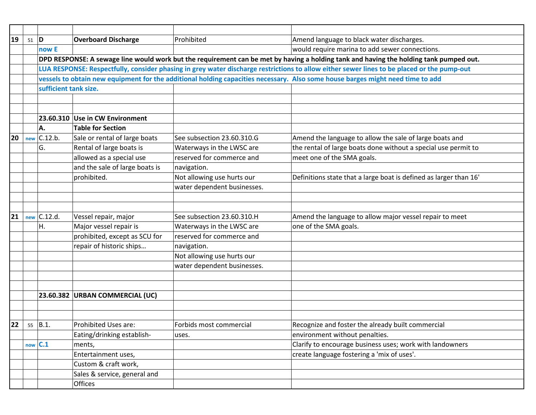| 19 | $51$ D |                       | <b>Overboard Discharge</b>      | Prohibited                  | Amend language to black water discharges.                                                                                                  |
|----|--------|-----------------------|---------------------------------|-----------------------------|--------------------------------------------------------------------------------------------------------------------------------------------|
|    |        | now E                 |                                 |                             | would require marina to add sewer connections.                                                                                             |
|    |        |                       |                                 |                             | DPD RESPONSE: A sewage line would work but the requirement can be met by having a holding tank and having the holding tank pumped out.     |
|    |        |                       |                                 |                             | LUA RESPONSE: Respectfully, consider phasing in grey water discharge restrictions to allow either sewer lines to be placed or the pump-out |
|    |        |                       |                                 |                             | vessels to obtain new equipment for the additional holding capacities necessary. Also some house barges might need time to add             |
|    |        | sufficient tank size. |                                 |                             |                                                                                                                                            |
|    |        |                       |                                 |                             |                                                                                                                                            |
|    |        |                       |                                 |                             |                                                                                                                                            |
|    |        |                       | 23.60.310 Use in CW Environment |                             |                                                                                                                                            |
|    |        | А.                    | <b>Table for Section</b>        |                             |                                                                                                                                            |
| 20 | new    | C.12.b.               | Sale or rental of large boats   | See subsection 23.60.310.G  | Amend the language to allow the sale of large boats and                                                                                    |
|    |        | G.                    | Rental of large boats is        | Waterways in the LWSC are   | the rental of large boats done without a special use permit to                                                                             |
|    |        |                       | allowed as a special use        | reserved for commerce and   | meet one of the SMA goals.                                                                                                                 |
|    |        |                       | and the sale of large boats is  | navigation.                 |                                                                                                                                            |
|    |        |                       | prohibited.                     | Not allowing use hurts our  | Definitions state that a large boat is defined as larger than 16'                                                                          |
|    |        |                       |                                 | water dependent businesses. |                                                                                                                                            |
|    |        |                       |                                 |                             |                                                                                                                                            |
|    |        |                       |                                 |                             |                                                                                                                                            |
| 21 |        | C.12.d.               | Vessel repair, major            | See subsection 23.60.310.H  | Amend the language to allow major vessel repair to meet                                                                                    |
|    | new    |                       |                                 |                             |                                                                                                                                            |
|    |        | Η.                    | Major vessel repair is          | Waterways in the LWSC are   | one of the SMA goals.                                                                                                                      |
|    |        |                       | prohibited, except as SCU for   | reserved for commerce and   |                                                                                                                                            |
|    |        |                       | repair of historic ships        | navigation.                 |                                                                                                                                            |
|    |        |                       |                                 | Not allowing use hurts our  |                                                                                                                                            |
|    |        |                       |                                 | water dependent businesses. |                                                                                                                                            |
|    |        |                       |                                 |                             |                                                                                                                                            |
|    |        |                       |                                 |                             |                                                                                                                                            |
|    |        |                       | 23.60.382 URBAN COMMERCIAL (UC) |                             |                                                                                                                                            |
|    |        |                       |                                 |                             |                                                                                                                                            |
|    |        |                       |                                 |                             |                                                                                                                                            |
| 22 |        | $55$ B.1.             | Prohibited Uses are:            | Forbids most commercial     | Recognize and foster the already built commercial                                                                                          |
|    |        |                       | Eating/drinking establish-      | uses.                       | environment without penalties.                                                                                                             |
|    | now    | C.1                   | ments,                          |                             | Clarify to encourage business uses; work with landowners                                                                                   |
|    |        |                       | Entertainment uses,             |                             | create language fostering a 'mix of uses'.                                                                                                 |
|    |        |                       | Custom & craft work,            |                             |                                                                                                                                            |
|    |        |                       | Sales & service, general and    |                             |                                                                                                                                            |
|    |        |                       | <b>Offices</b>                  |                             |                                                                                                                                            |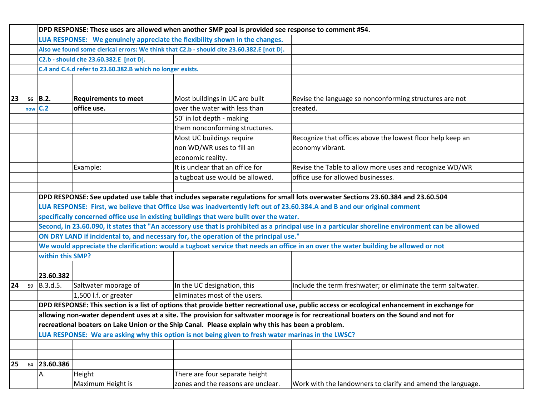|    |                                                                             | DPD RESPONSE: These uses are allowed when another SMP goal is provided see response to comment #54. |                             |                                                                                                    |                                                                                                                                                   |  |  |  |
|----|-----------------------------------------------------------------------------|-----------------------------------------------------------------------------------------------------|-----------------------------|----------------------------------------------------------------------------------------------------|---------------------------------------------------------------------------------------------------------------------------------------------------|--|--|--|
|    | LUA RESPONSE: We genuinely appreciate the flexibility shown in the changes. |                                                                                                     |                             |                                                                                                    |                                                                                                                                                   |  |  |  |
|    |                                                                             | Also we found some clerical errors: We think that C2.b - should cite 23.60.382.E [not D].           |                             |                                                                                                    |                                                                                                                                                   |  |  |  |
|    |                                                                             |                                                                                                     |                             |                                                                                                    |                                                                                                                                                   |  |  |  |
|    |                                                                             | C.4 and C.4.d refer to 23.60.382.B which no longer exists.                                          |                             |                                                                                                    |                                                                                                                                                   |  |  |  |
|    |                                                                             |                                                                                                     |                             |                                                                                                    |                                                                                                                                                   |  |  |  |
|    |                                                                             |                                                                                                     |                             |                                                                                                    |                                                                                                                                                   |  |  |  |
| 23 | 56                                                                          | B.2.                                                                                                | <b>Requirements to meet</b> | Most buildings in UC are built                                                                     | Revise the language so nonconforming structures are not                                                                                           |  |  |  |
|    | now                                                                         | C.2                                                                                                 | office use.                 | over the water with less than                                                                      | created.                                                                                                                                          |  |  |  |
|    |                                                                             |                                                                                                     |                             | 50' in lot depth - making                                                                          |                                                                                                                                                   |  |  |  |
|    |                                                                             |                                                                                                     |                             | them nonconforming structures.                                                                     |                                                                                                                                                   |  |  |  |
|    |                                                                             |                                                                                                     |                             | Most UC buildings require                                                                          | Recognize that offices above the lowest floor help keep an                                                                                        |  |  |  |
|    |                                                                             |                                                                                                     |                             | non WD/WR uses to fill an                                                                          | economy vibrant.                                                                                                                                  |  |  |  |
|    |                                                                             |                                                                                                     |                             | economic reality.                                                                                  |                                                                                                                                                   |  |  |  |
|    |                                                                             |                                                                                                     | Example:                    | It is unclear that an office for                                                                   | Revise the Table to allow more uses and recognize WD/WR                                                                                           |  |  |  |
|    |                                                                             |                                                                                                     |                             | a tugboat use would be allowed.                                                                    | office use for allowed businesses.                                                                                                                |  |  |  |
|    |                                                                             |                                                                                                     |                             |                                                                                                    |                                                                                                                                                   |  |  |  |
|    |                                                                             |                                                                                                     |                             |                                                                                                    | DPD RESPONSE: See updated use table that includes separate regulations for small lots overwater Sections 23.60.384 and 23.60.504                  |  |  |  |
|    |                                                                             |                                                                                                     |                             |                                                                                                    | LUA RESPONSE: First, we believe that Office Use was inadvertently left out of 23.60.384.A and B and our original comment                          |  |  |  |
|    |                                                                             |                                                                                                     |                             | specifically concerned office use in existing buildings that were built over the water.            |                                                                                                                                                   |  |  |  |
|    |                                                                             |                                                                                                     |                             |                                                                                                    | Second, in 23.60.090, it states that "An accessory use that is prohibited as a principal use in a particular shoreline environment can be allowed |  |  |  |
|    |                                                                             |                                                                                                     |                             | ON DRY LAND if incidental to, and necessary for, the operation of the principal use."              |                                                                                                                                                   |  |  |  |
|    |                                                                             |                                                                                                     |                             |                                                                                                    | We would appreciate the clarification: would a tugboat service that needs an office in an over the water building be allowed or not               |  |  |  |
|    |                                                                             | within this SMP?                                                                                    |                             |                                                                                                    |                                                                                                                                                   |  |  |  |
|    |                                                                             |                                                                                                     |                             |                                                                                                    |                                                                                                                                                   |  |  |  |
|    |                                                                             | 23.60.382                                                                                           |                             |                                                                                                    |                                                                                                                                                   |  |  |  |
| 24 | 59                                                                          | B.3.d.5.                                                                                            | Saltwater moorage of        | In the UC designation, this                                                                        | Include the term freshwater; or eliminate the term saltwater.                                                                                     |  |  |  |
|    |                                                                             |                                                                                                     | 1,500 l.f. or greater       | eliminates most of the users.                                                                      |                                                                                                                                                   |  |  |  |
|    |                                                                             |                                                                                                     |                             |                                                                                                    | DPD RESPONSE: This section is a list of options that provide better recreational use, public access or ecological enhancement in exchange for     |  |  |  |
|    |                                                                             |                                                                                                     |                             |                                                                                                    | allowing non-water dependent uses at a site. The provision for saltwater moorage is for recreational boaters on the Sound and not for             |  |  |  |
|    |                                                                             |                                                                                                     |                             | recreational boaters on Lake Union or the Ship Canal. Please explain why this has been a problem.  |                                                                                                                                                   |  |  |  |
|    |                                                                             |                                                                                                     |                             | LUA RESPONSE: We are asking why this option is not being given to fresh water marinas in the LWSC? |                                                                                                                                                   |  |  |  |
|    |                                                                             |                                                                                                     |                             |                                                                                                    |                                                                                                                                                   |  |  |  |
|    |                                                                             |                                                                                                     |                             |                                                                                                    |                                                                                                                                                   |  |  |  |
| 25 | 64                                                                          | 23.60.386                                                                                           |                             |                                                                                                    |                                                                                                                                                   |  |  |  |
|    |                                                                             | AA.                                                                                                 | Height                      | There are four separate height                                                                     |                                                                                                                                                   |  |  |  |
|    |                                                                             |                                                                                                     | Maximum Height is           | zones and the reasons are unclear.                                                                 | Work with the landowners to clarify and amend the language.                                                                                       |  |  |  |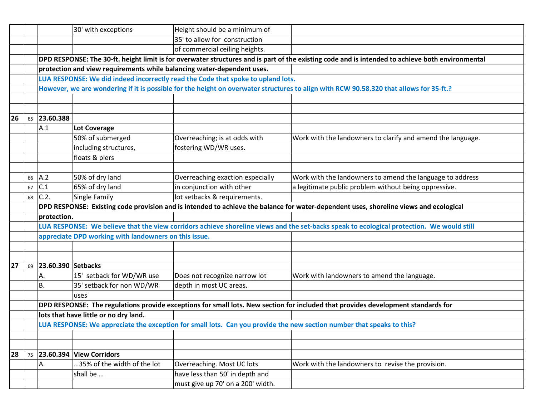|    |    | 30' with exceptions                                                                                                                   | Height should be a minimum of                                                                                                                    |                                                                                                                                           |  |  |  |  |  |
|----|----|---------------------------------------------------------------------------------------------------------------------------------------|--------------------------------------------------------------------------------------------------------------------------------------------------|-------------------------------------------------------------------------------------------------------------------------------------------|--|--|--|--|--|
|    |    |                                                                                                                                       | 35' to allow for construction                                                                                                                    |                                                                                                                                           |  |  |  |  |  |
|    |    |                                                                                                                                       | of commercial ceiling heights.                                                                                                                   |                                                                                                                                           |  |  |  |  |  |
|    |    |                                                                                                                                       | DPD RESPONSE: The 30-ft. height limit is for overwater structures and is part of the existing code and is intended to achieve both environmental |                                                                                                                                           |  |  |  |  |  |
|    |    |                                                                                                                                       | protection and view requirements while balancing water-dependent uses.                                                                           |                                                                                                                                           |  |  |  |  |  |
|    |    | LUA RESPONSE: We did indeed incorrectly read the Code that spoke to upland lots.                                                      |                                                                                                                                                  |                                                                                                                                           |  |  |  |  |  |
|    |    |                                                                                                                                       |                                                                                                                                                  | However, we are wondering if it is possible for the height on overwater structures to align with RCW 90.58.320 that allows for 35-ft.?    |  |  |  |  |  |
|    |    |                                                                                                                                       |                                                                                                                                                  |                                                                                                                                           |  |  |  |  |  |
|    |    |                                                                                                                                       |                                                                                                                                                  |                                                                                                                                           |  |  |  |  |  |
| 26 | 65 | 23.60.388                                                                                                                             |                                                                                                                                                  |                                                                                                                                           |  |  |  |  |  |
|    |    | A.1<br>Lot Coverage                                                                                                                   |                                                                                                                                                  |                                                                                                                                           |  |  |  |  |  |
|    |    | 50% of submerged                                                                                                                      | Overreaching; is at odds with                                                                                                                    | Work with the landowners to clarify and amend the language.                                                                               |  |  |  |  |  |
|    |    | including structures,                                                                                                                 | fostering WD/WR uses.                                                                                                                            |                                                                                                                                           |  |  |  |  |  |
|    |    | floats & piers                                                                                                                        |                                                                                                                                                  |                                                                                                                                           |  |  |  |  |  |
|    |    |                                                                                                                                       |                                                                                                                                                  |                                                                                                                                           |  |  |  |  |  |
|    | 66 | 50% of dry land<br> A.2                                                                                                               | Overreaching exaction especially                                                                                                                 | Work with the landowners to amend the language to address                                                                                 |  |  |  |  |  |
|    | 67 | C.1<br>65% of dry land                                                                                                                | in conjunction with other                                                                                                                        | a legitimate public problem without being oppressive.                                                                                     |  |  |  |  |  |
|    | 68 | Single Family<br>C.2.                                                                                                                 | lot setbacks & requirements.                                                                                                                     |                                                                                                                                           |  |  |  |  |  |
|    |    | DPD RESPONSE: Existing code provision and is intended to achieve the balance for water-dependent uses, shoreline views and ecological |                                                                                                                                                  |                                                                                                                                           |  |  |  |  |  |
|    |    | protection.                                                                                                                           |                                                                                                                                                  |                                                                                                                                           |  |  |  |  |  |
|    |    |                                                                                                                                       |                                                                                                                                                  | LUA RESPONSE: We believe that the view corridors achieve shoreline views and the set-backs speak to ecological protection. We would still |  |  |  |  |  |
|    |    | appreciate DPD working with landowners on this issue.                                                                                 |                                                                                                                                                  |                                                                                                                                           |  |  |  |  |  |
|    |    |                                                                                                                                       |                                                                                                                                                  |                                                                                                                                           |  |  |  |  |  |
|    |    |                                                                                                                                       |                                                                                                                                                  |                                                                                                                                           |  |  |  |  |  |
| 27 | 69 | 23.60.390 Setbacks                                                                                                                    |                                                                                                                                                  |                                                                                                                                           |  |  |  |  |  |
|    |    | 15' setback for WD/WR use<br>А.                                                                                                       | Does not recognize narrow lot                                                                                                                    | Work with landowners to amend the language.                                                                                               |  |  |  |  |  |
|    |    | 35' setback for non WD/WR<br>В.                                                                                                       | depth in most UC areas.                                                                                                                          |                                                                                                                                           |  |  |  |  |  |
|    |    | luses                                                                                                                                 |                                                                                                                                                  |                                                                                                                                           |  |  |  |  |  |
|    |    |                                                                                                                                       |                                                                                                                                                  | DPD RESPONSE: The regulations provide exceptions for small lots. New section for included that provides development standards for         |  |  |  |  |  |
|    |    | lots that have little or no dry land.                                                                                                 |                                                                                                                                                  |                                                                                                                                           |  |  |  |  |  |
|    |    | LUA RESPONSE: We appreciate the exception for small lots. Can you provide the new section number that speaks to this?                 |                                                                                                                                                  |                                                                                                                                           |  |  |  |  |  |
|    |    |                                                                                                                                       |                                                                                                                                                  |                                                                                                                                           |  |  |  |  |  |
|    |    |                                                                                                                                       |                                                                                                                                                  |                                                                                                                                           |  |  |  |  |  |
| 28 | 75 | 23.60.394 View Corridors                                                                                                              |                                                                                                                                                  |                                                                                                                                           |  |  |  |  |  |
|    |    | 35% of the width of the lot<br>А.                                                                                                     | Overreaching. Most UC lots                                                                                                                       | Work with the landowners to revise the provision.                                                                                         |  |  |  |  |  |
|    |    | shall be                                                                                                                              | have less than 50' in depth and                                                                                                                  |                                                                                                                                           |  |  |  |  |  |
|    |    |                                                                                                                                       | must give up 70' on a 200' width.                                                                                                                |                                                                                                                                           |  |  |  |  |  |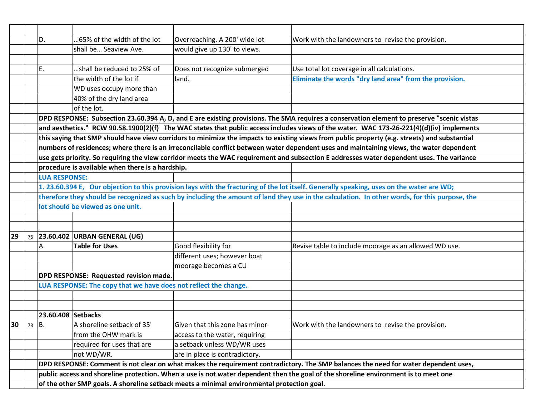|    |                                                                                                                                                | D.                                                                                                                                        | 65% of the width of the lot                                      | Overreaching. A 200' wide lot  | Work with the landowners to revise the provision.                                                                                             |  |  |  |
|----|------------------------------------------------------------------------------------------------------------------------------------------------|-------------------------------------------------------------------------------------------------------------------------------------------|------------------------------------------------------------------|--------------------------------|-----------------------------------------------------------------------------------------------------------------------------------------------|--|--|--|
|    |                                                                                                                                                |                                                                                                                                           | shall be Seaview Ave.                                            | would give up 130' to views.   |                                                                                                                                               |  |  |  |
|    |                                                                                                                                                |                                                                                                                                           |                                                                  |                                |                                                                                                                                               |  |  |  |
|    |                                                                                                                                                | Ε.                                                                                                                                        | shall be reduced to 25% of                                       | Does not recognize submerged   | Use total lot coverage in all calculations.                                                                                                   |  |  |  |
|    |                                                                                                                                                |                                                                                                                                           | the width of the lot if                                          | land.                          | Eliminate the words "dry land area" from the provision.                                                                                       |  |  |  |
|    |                                                                                                                                                |                                                                                                                                           | WD uses occupy more than                                         |                                |                                                                                                                                               |  |  |  |
|    |                                                                                                                                                |                                                                                                                                           | 40% of the dry land area                                         |                                |                                                                                                                                               |  |  |  |
|    |                                                                                                                                                |                                                                                                                                           | of the lot.                                                      |                                |                                                                                                                                               |  |  |  |
|    |                                                                                                                                                |                                                                                                                                           |                                                                  |                                | DPD RESPONSE: Subsection 23.60.394 A, D, and E are existing provisions. The SMA requires a conservation element to preserve "scenic vistas    |  |  |  |
|    |                                                                                                                                                |                                                                                                                                           |                                                                  |                                | and aesthetics." RCW 90.58.1900(2)(f) The WAC states that public access includes views of the water. WAC 173-26-221(4)(d)(iv) implements      |  |  |  |
|    |                                                                                                                                                |                                                                                                                                           |                                                                  |                                | this saying that SMP should have view corridors to minimize the impacts to existing views from public property (e.g. streets) and substantial |  |  |  |
|    | numbers of residences; where there is an irreconcilable conflict between water dependent uses and maintaining views, the water dependent       |                                                                                                                                           |                                                                  |                                |                                                                                                                                               |  |  |  |
|    |                                                                                                                                                |                                                                                                                                           |                                                                  |                                | use gets priority. So requiring the view corridor meets the WAC requirement and subsection E addresses water dependent uses. The variance     |  |  |  |
|    |                                                                                                                                                | procedure is available when there is a hardship.                                                                                          |                                                                  |                                |                                                                                                                                               |  |  |  |
|    |                                                                                                                                                | <b>LUA RESPONSE:</b>                                                                                                                      |                                                                  |                                |                                                                                                                                               |  |  |  |
|    |                                                                                                                                                | 1. 23.60.394 E, Our objection to this provision lays with the fracturing of the lot itself. Generally speaking, uses on the water are WD; |                                                                  |                                |                                                                                                                                               |  |  |  |
|    | therefore they should be recognized as such by including the amount of land they use in the calculation. In other words, for this purpose, the |                                                                                                                                           |                                                                  |                                |                                                                                                                                               |  |  |  |
|    |                                                                                                                                                |                                                                                                                                           | lot should be viewed as one unit.                                |                                |                                                                                                                                               |  |  |  |
|    |                                                                                                                                                |                                                                                                                                           |                                                                  |                                |                                                                                                                                               |  |  |  |
|    |                                                                                                                                                |                                                                                                                                           |                                                                  |                                |                                                                                                                                               |  |  |  |
| 29 | 76                                                                                                                                             |                                                                                                                                           | 23.60.402 URBAN GENERAL (UG)                                     |                                |                                                                                                                                               |  |  |  |
|    |                                                                                                                                                | А.                                                                                                                                        | <b>Table for Uses</b>                                            | Good flexibility for           | Revise table to include moorage as an allowed WD use.                                                                                         |  |  |  |
|    |                                                                                                                                                |                                                                                                                                           |                                                                  | different uses; however boat   |                                                                                                                                               |  |  |  |
|    |                                                                                                                                                |                                                                                                                                           |                                                                  | moorage becomes a CU           |                                                                                                                                               |  |  |  |
|    |                                                                                                                                                |                                                                                                                                           | DPD RESPONSE: Requested revision made.                           |                                |                                                                                                                                               |  |  |  |
|    |                                                                                                                                                |                                                                                                                                           | LUA RESPONSE: The copy that we have does not reflect the change. |                                |                                                                                                                                               |  |  |  |
|    |                                                                                                                                                |                                                                                                                                           |                                                                  |                                |                                                                                                                                               |  |  |  |
|    |                                                                                                                                                |                                                                                                                                           |                                                                  |                                |                                                                                                                                               |  |  |  |
|    |                                                                                                                                                | 23.60.408 Setbacks                                                                                                                        |                                                                  |                                |                                                                                                                                               |  |  |  |
| 30 | 78                                                                                                                                             | B.                                                                                                                                        | A shoreline setback of 35'                                       | Given that this zone has minor | Work with the landowners to revise the provision.                                                                                             |  |  |  |
|    |                                                                                                                                                |                                                                                                                                           | from the OHW mark is                                             | access to the water, requiring |                                                                                                                                               |  |  |  |
|    |                                                                                                                                                |                                                                                                                                           | required for uses that are                                       | a setback unless WD/WR uses    |                                                                                                                                               |  |  |  |
|    |                                                                                                                                                |                                                                                                                                           | not WD/WR.                                                       | are in place is contradictory. |                                                                                                                                               |  |  |  |
|    |                                                                                                                                                |                                                                                                                                           |                                                                  |                                | DPD RESPONSE: Comment is not clear on what makes the requirement contradictory. The SMP balances the need for water dependent uses,           |  |  |  |
|    |                                                                                                                                                |                                                                                                                                           |                                                                  |                                | public access and shoreline protection. When a use is not water dependent then the goal of the shoreline environment is to meet one           |  |  |  |
|    | of the other SMP goals. A shoreline setback meets a minimal environmental protection goal.                                                     |                                                                                                                                           |                                                                  |                                |                                                                                                                                               |  |  |  |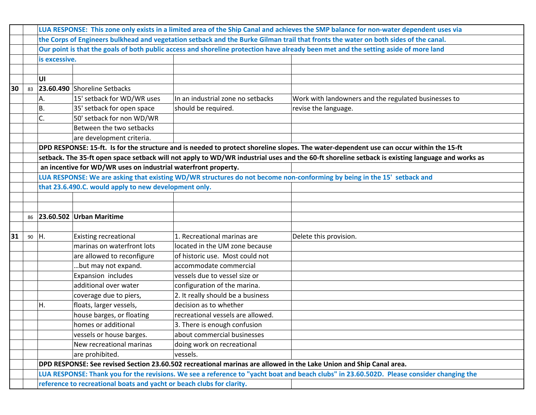|    | LUA RESPONSE: This zone only exists in a limited area of the Ship Canal and achieves the SMP balance for non-water dependent uses via |               |                                                                       |                                   |                                                                                                                                                 |  |  |  |
|----|---------------------------------------------------------------------------------------------------------------------------------------|---------------|-----------------------------------------------------------------------|-----------------------------------|-------------------------------------------------------------------------------------------------------------------------------------------------|--|--|--|
|    | the Corps of Engineers bulkhead and vegetation setback and the Burke Gilman trail that fronts the water on both sides of the canal.   |               |                                                                       |                                   |                                                                                                                                                 |  |  |  |
|    | Our point is that the goals of both public access and shoreline protection have already been met and the setting aside of more land   |               |                                                                       |                                   |                                                                                                                                                 |  |  |  |
|    |                                                                                                                                       | is excessive. |                                                                       |                                   |                                                                                                                                                 |  |  |  |
|    |                                                                                                                                       |               |                                                                       |                                   |                                                                                                                                                 |  |  |  |
|    |                                                                                                                                       | UI            |                                                                       |                                   |                                                                                                                                                 |  |  |  |
| 30 | 83                                                                                                                                    |               | 23.60.490 Shoreline Setbacks                                          |                                   |                                                                                                                                                 |  |  |  |
|    |                                                                                                                                       | А.            | 15' setback for WD/WR uses                                            | In an industrial zone no setbacks | Work with landowners and the regulated businesses to                                                                                            |  |  |  |
|    |                                                                                                                                       | <b>B.</b>     | 35' setback for open space                                            | should be required.               | revise the language.                                                                                                                            |  |  |  |
|    |                                                                                                                                       | C.            | 50' setback for non WD/WR                                             |                                   |                                                                                                                                                 |  |  |  |
|    |                                                                                                                                       |               | Between the two setbacks                                              |                                   |                                                                                                                                                 |  |  |  |
|    |                                                                                                                                       |               | are development criteria.                                             |                                   |                                                                                                                                                 |  |  |  |
|    |                                                                                                                                       |               |                                                                       |                                   | DPD RESPONSE: 15-ft. Is for the structure and is needed to protect shoreline slopes. The water-dependent use can occur within the 15-ft         |  |  |  |
|    |                                                                                                                                       |               |                                                                       |                                   | setback. The 35-ft open space setback will not apply to WD/WR industrial uses and the 60-ft shoreline setback is existing language and works as |  |  |  |
|    | an incentive for WD/WR uses on industrial waterfront property.                                                                        |               |                                                                       |                                   |                                                                                                                                                 |  |  |  |
|    |                                                                                                                                       |               |                                                                       |                                   | LUA RESPONSE: We are asking that existing WD/WR structures do not become non-conforming by being in the 15' setback and                         |  |  |  |
|    |                                                                                                                                       |               | that 23.6.490.C. would apply to new development only.                 |                                   |                                                                                                                                                 |  |  |  |
|    |                                                                                                                                       |               |                                                                       |                                   |                                                                                                                                                 |  |  |  |
|    |                                                                                                                                       |               |                                                                       |                                   |                                                                                                                                                 |  |  |  |
|    | 86                                                                                                                                    |               | 23.60.502 Urban Maritime                                              |                                   |                                                                                                                                                 |  |  |  |
|    |                                                                                                                                       |               |                                                                       |                                   |                                                                                                                                                 |  |  |  |
| 31 | 90                                                                                                                                    | ΙH.           | <b>Existing recreational</b>                                          | 1. Recreational marinas are       | Delete this provision.                                                                                                                          |  |  |  |
|    |                                                                                                                                       |               | marinas on waterfront lots                                            | located in the UM zone because    |                                                                                                                                                 |  |  |  |
|    |                                                                                                                                       |               | are allowed to reconfigure                                            | of historic use. Most could not   |                                                                                                                                                 |  |  |  |
|    |                                                                                                                                       |               | but may not expand.                                                   | accommodate commercial            |                                                                                                                                                 |  |  |  |
|    |                                                                                                                                       |               | Expansion includes                                                    | vessels due to vessel size or     |                                                                                                                                                 |  |  |  |
|    |                                                                                                                                       |               | additional over water                                                 | configuration of the marina.      |                                                                                                                                                 |  |  |  |
|    |                                                                                                                                       |               | coverage due to piers,                                                | 2. It really should be a business |                                                                                                                                                 |  |  |  |
|    |                                                                                                                                       | Η.            | floats, larger vessels,                                               | decision as to whether            |                                                                                                                                                 |  |  |  |
|    |                                                                                                                                       |               | house barges, or floating                                             | recreational vessels are allowed. |                                                                                                                                                 |  |  |  |
|    |                                                                                                                                       |               | homes or additional                                                   | 3. There is enough confusion      |                                                                                                                                                 |  |  |  |
|    |                                                                                                                                       |               | vessels or house barges.                                              | about commercial businesses       |                                                                                                                                                 |  |  |  |
|    |                                                                                                                                       |               | New recreational marinas                                              | doing work on recreational        |                                                                                                                                                 |  |  |  |
|    |                                                                                                                                       |               | are prohibited.                                                       | vessels.                          |                                                                                                                                                 |  |  |  |
|    |                                                                                                                                       |               |                                                                       |                                   | DPD RESPONSE: See revised Section 23.60.502 recreational marinas are allowed in the Lake Union and Ship Canal area.                             |  |  |  |
|    |                                                                                                                                       |               |                                                                       |                                   | LUA RESPONSE: Thank you for the revisions. We see a reference to "yacht boat and beach clubs" in 23.60.502D. Please consider changing the       |  |  |  |
|    |                                                                                                                                       |               | reference to recreational boats and yacht or beach clubs for clarity. |                                   |                                                                                                                                                 |  |  |  |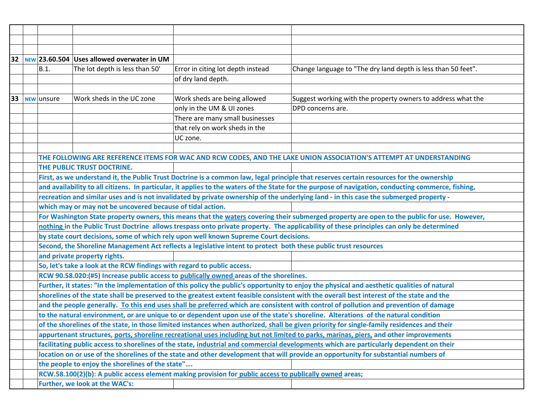| 32                                                                                                                                                                                                                                                                                              |                                                                                                                                           |                                                                                                                    | $NEW$ 23.60.504 Uses allowed overwater in UM                                                                                             |                                                                                                                 |                                                                                                                                             |  |
|-------------------------------------------------------------------------------------------------------------------------------------------------------------------------------------------------------------------------------------------------------------------------------------------------|-------------------------------------------------------------------------------------------------------------------------------------------|--------------------------------------------------------------------------------------------------------------------|------------------------------------------------------------------------------------------------------------------------------------------|-----------------------------------------------------------------------------------------------------------------|---------------------------------------------------------------------------------------------------------------------------------------------|--|
|                                                                                                                                                                                                                                                                                                 |                                                                                                                                           | B.1.                                                                                                               | The lot depth is less than 50'                                                                                                           | Error in citing lot depth instead                                                                               | Change language to "The dry land depth is less than 50 feet".                                                                               |  |
|                                                                                                                                                                                                                                                                                                 |                                                                                                                                           |                                                                                                                    |                                                                                                                                          | of dry land depth.                                                                                              |                                                                                                                                             |  |
|                                                                                                                                                                                                                                                                                                 |                                                                                                                                           |                                                                                                                    |                                                                                                                                          |                                                                                                                 |                                                                                                                                             |  |
| 33                                                                                                                                                                                                                                                                                              |                                                                                                                                           | NEW unsure                                                                                                         | Work sheds in the UC zone                                                                                                                | Work sheds are being allowed                                                                                    | Suggest working with the property owners to address what the                                                                                |  |
|                                                                                                                                                                                                                                                                                                 |                                                                                                                                           |                                                                                                                    |                                                                                                                                          | only in the UM & UI zones                                                                                       | DPD concerns are.                                                                                                                           |  |
|                                                                                                                                                                                                                                                                                                 |                                                                                                                                           |                                                                                                                    |                                                                                                                                          | There are many small businesses                                                                                 |                                                                                                                                             |  |
|                                                                                                                                                                                                                                                                                                 |                                                                                                                                           |                                                                                                                    |                                                                                                                                          | that rely on work sheds in the                                                                                  |                                                                                                                                             |  |
|                                                                                                                                                                                                                                                                                                 |                                                                                                                                           |                                                                                                                    |                                                                                                                                          | UC zone.                                                                                                        |                                                                                                                                             |  |
|                                                                                                                                                                                                                                                                                                 |                                                                                                                                           |                                                                                                                    |                                                                                                                                          |                                                                                                                 |                                                                                                                                             |  |
|                                                                                                                                                                                                                                                                                                 |                                                                                                                                           | THE FOLLOWING ARE REFERENCE ITEMS FOR WAC AND RCW CODES, AND THE LAKE UNION ASSOCIATION'S ATTEMPT AT UNDERSTANDING |                                                                                                                                          |                                                                                                                 |                                                                                                                                             |  |
| THE PUBLIC TRUST DOCTRINE.                                                                                                                                                                                                                                                                      |                                                                                                                                           |                                                                                                                    |                                                                                                                                          |                                                                                                                 |                                                                                                                                             |  |
| First, as we understand it, the Public Trust Doctrine is a common law, legal principle that reserves certain resources for the ownership<br>and availability to all citizens. In particular, it applies to the waters of the State for the purpose of navigation, conducting commerce, fishing, |                                                                                                                                           |                                                                                                                    |                                                                                                                                          |                                                                                                                 |                                                                                                                                             |  |
|                                                                                                                                                                                                                                                                                                 |                                                                                                                                           |                                                                                                                    |                                                                                                                                          |                                                                                                                 |                                                                                                                                             |  |
| recreation and similar uses and is not invalidated by private ownership of the underlying land - in this case the submerged property -                                                                                                                                                          |                                                                                                                                           |                                                                                                                    |                                                                                                                                          |                                                                                                                 |                                                                                                                                             |  |
|                                                                                                                                                                                                                                                                                                 |                                                                                                                                           |                                                                                                                    | which may or may not be uncovered because of tidal action.                                                                               |                                                                                                                 |                                                                                                                                             |  |
|                                                                                                                                                                                                                                                                                                 |                                                                                                                                           |                                                                                                                    |                                                                                                                                          |                                                                                                                 | For Washington State property owners, this means that the waters covering their submerged property are open to the public for use. However, |  |
|                                                                                                                                                                                                                                                                                                 |                                                                                                                                           |                                                                                                                    | nothing in the Public Trust Doctrine allows trespass onto private property. The applicability of these principles can only be determined |                                                                                                                 |                                                                                                                                             |  |
| by state court decisions, some of which rely upon well known Supreme Court decisions.                                                                                                                                                                                                           |                                                                                                                                           |                                                                                                                    |                                                                                                                                          |                                                                                                                 |                                                                                                                                             |  |
|                                                                                                                                                                                                                                                                                                 |                                                                                                                                           |                                                                                                                    |                                                                                                                                          | Second, the Shoreline Management Act reflects a legislative intent to protect both these public trust resources |                                                                                                                                             |  |
|                                                                                                                                                                                                                                                                                                 |                                                                                                                                           |                                                                                                                    | and private property rights.                                                                                                             |                                                                                                                 |                                                                                                                                             |  |
|                                                                                                                                                                                                                                                                                                 |                                                                                                                                           |                                                                                                                    | So, let's take a look at the RCW findings with regard to public access.                                                                  |                                                                                                                 |                                                                                                                                             |  |
|                                                                                                                                                                                                                                                                                                 |                                                                                                                                           |                                                                                                                    |                                                                                                                                          | RCW 90.58.020:(#5) Increase public access to publically owned areas of the shorelines.                          |                                                                                                                                             |  |
| Further, it states: "In the implementation of this policy the public's opportunity to enjoy the physical and aesthetic qualities of natural                                                                                                                                                     |                                                                                                                                           |                                                                                                                    |                                                                                                                                          |                                                                                                                 |                                                                                                                                             |  |
|                                                                                                                                                                                                                                                                                                 | shorelines of the state shall be preserved to the greatest extent feasible consistent with the overall best interest of the state and the |                                                                                                                    |                                                                                                                                          |                                                                                                                 |                                                                                                                                             |  |
|                                                                                                                                                                                                                                                                                                 | and the people generally. To this end uses shall be preferred which are consistent with control of pollution and prevention of damage     |                                                                                                                    |                                                                                                                                          |                                                                                                                 |                                                                                                                                             |  |
|                                                                                                                                                                                                                                                                                                 | to the natural environment, or are unique to or dependent upon use of the state's shoreline. Alterations of the natural condition         |                                                                                                                    |                                                                                                                                          |                                                                                                                 |                                                                                                                                             |  |
|                                                                                                                                                                                                                                                                                                 |                                                                                                                                           |                                                                                                                    |                                                                                                                                          |                                                                                                                 | of the shorelines of the state, in those limited instances when authorized, shall be given priority for single-family residences and their  |  |
|                                                                                                                                                                                                                                                                                                 |                                                                                                                                           |                                                                                                                    |                                                                                                                                          |                                                                                                                 | appurtenant structures, ports, shoreline recreational uses including but not limited to parks, marinas, piers, and other improvements       |  |
| facilitating public access to shorelines of the state, industrial and commercial developments which are particularly dependent on their<br>location on or use of the shorelines of the state and other development that will provide an opportunity for substantial numbers of                  |                                                                                                                                           |                                                                                                                    |                                                                                                                                          |                                                                                                                 |                                                                                                                                             |  |
|                                                                                                                                                                                                                                                                                                 |                                                                                                                                           |                                                                                                                    |                                                                                                                                          |                                                                                                                 |                                                                                                                                             |  |
|                                                                                                                                                                                                                                                                                                 |                                                                                                                                           |                                                                                                                    | the people to enjoy the shorelines of the state"                                                                                         |                                                                                                                 |                                                                                                                                             |  |
|                                                                                                                                                                                                                                                                                                 |                                                                                                                                           |                                                                                                                    |                                                                                                                                          | RCW.58.100(2)(b): A public access element making provision for public access to publically owned areas;         |                                                                                                                                             |  |
|                                                                                                                                                                                                                                                                                                 |                                                                                                                                           |                                                                                                                    | Further, we look at the WAC's:                                                                                                           |                                                                                                                 |                                                                                                                                             |  |